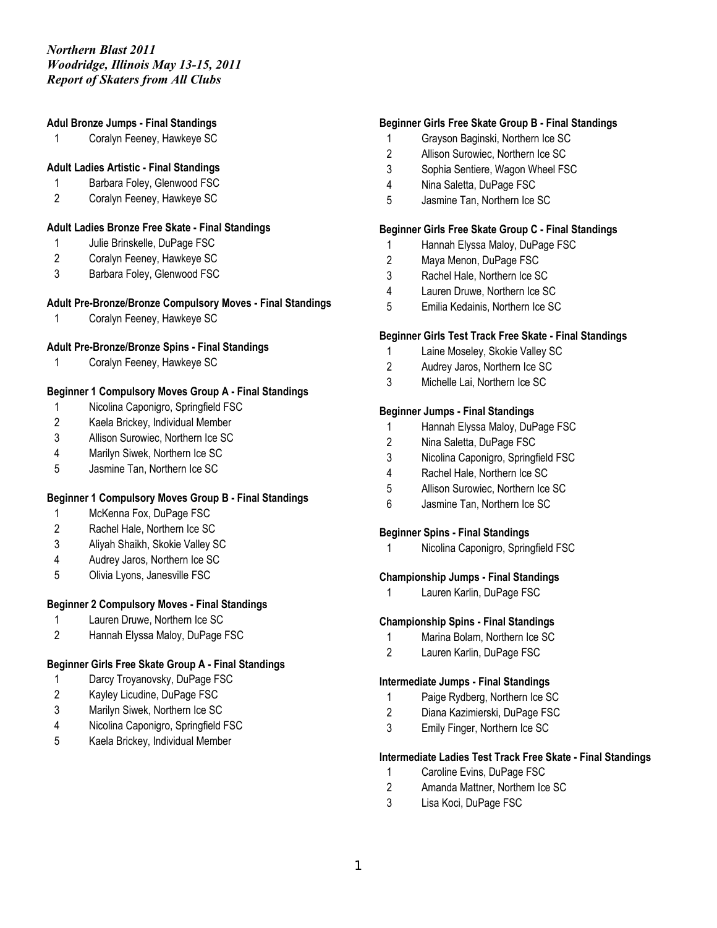# **Adul Bronze Jumps - Final Standings**

Coralyn Feeney, Hawkeye SC

## **Adult Ladies Artistic - Final Standings**

- Barbara Foley, Glenwood FSC
- Coralyn Feeney, Hawkeye SC

# **Adult Ladies Bronze Free Skate - Final Standings**

- 1 Julie Brinskelle, DuPage FSC
- Coralyn Feeney, Hawkeye SC
- Barbara Foley, Glenwood FSC

#### **Adult Pre-Bronze/Bronze Compulsory Moves - Final Standings**

Coralyn Feeney, Hawkeye SC

# **Adult Pre-Bronze/Bronze Spins - Final Standings**

Coralyn Feeney, Hawkeye SC

## **Beginner 1 Compulsory Moves Group A - Final Standings**

- Nicolina Caponigro, Springfield FSC
- Kaela Brickey, Individual Member
- Allison Surowiec, Northern Ice SC
- Marilyn Siwek, Northern Ice SC
- Jasmine Tan, Northern Ice SC

#### **Beginner 1 Compulsory Moves Group B - Final Standings**

- McKenna Fox, DuPage FSC
- Rachel Hale, Northern Ice SC
- Aliyah Shaikh, Skokie Valley SC
- Audrey Jaros, Northern Ice SC
- Olivia Lyons, Janesville FSC

# **Beginner 2 Compulsory Moves - Final Standings**

- Lauren Druwe, Northern Ice SC
- Hannah Elyssa Maloy, DuPage FSC

# **Beginner Girls Free Skate Group A - Final Standings**

- 1 Darcy Troyanovsky, DuPage FSC
- Kayley Licudine, DuPage FSC
- Marilyn Siwek, Northern Ice SC
- Nicolina Caponigro, Springfield FSC
- Kaela Brickey, Individual Member

### **Beginner Girls Free Skate Group B - Final Standings**

- Grayson Baginski, Northern Ice SC
- Allison Surowiec, Northern Ice SC
- Sophia Sentiere, Wagon Wheel FSC
- Nina Saletta, DuPage FSC
- Jasmine Tan, Northern Ice SC

#### **Beginner Girls Free Skate Group C - Final Standings**

- Hannah Elyssa Maloy, DuPage FSC
- Maya Menon, DuPage FSC
- Rachel Hale, Northern Ice SC
- Lauren Druwe, Northern Ice SC
- Emilia Kedainis, Northern Ice SC

## **Beginner Girls Test Track Free Skate - Final Standings**

- Laine Moseley, Skokie Valley SC
- Audrey Jaros, Northern Ice SC
- Michelle Lai, Northern Ice SC

#### **Beginner Jumps - Final Standings**

- Hannah Elyssa Maloy, DuPage FSC
- Nina Saletta, DuPage FSC
- Nicolina Caponigro, Springfield FSC
- Rachel Hale, Northern Ice SC
- Allison Surowiec, Northern Ice SC
- Jasmine Tan, Northern Ice SC

# **Beginner Spins - Final Standings**

Nicolina Caponigro, Springfield FSC

#### **Championship Jumps - Final Standings**

Lauren Karlin, DuPage FSC

### **Championship Spins - Final Standings**

- Marina Bolam, Northern Ice SC
- Lauren Karlin, DuPage FSC

#### **Intermediate Jumps - Final Standings**

- Paige Rydberg, Northern Ice SC
- Diana Kazimierski, DuPage FSC
- Emily Finger, Northern Ice SC

#### **Intermediate Ladies Test Track Free Skate - Final Standings**

- Caroline Evins, DuPage FSC
- Amanda Mattner, Northern Ice SC
- Lisa Koci, DuPage FSC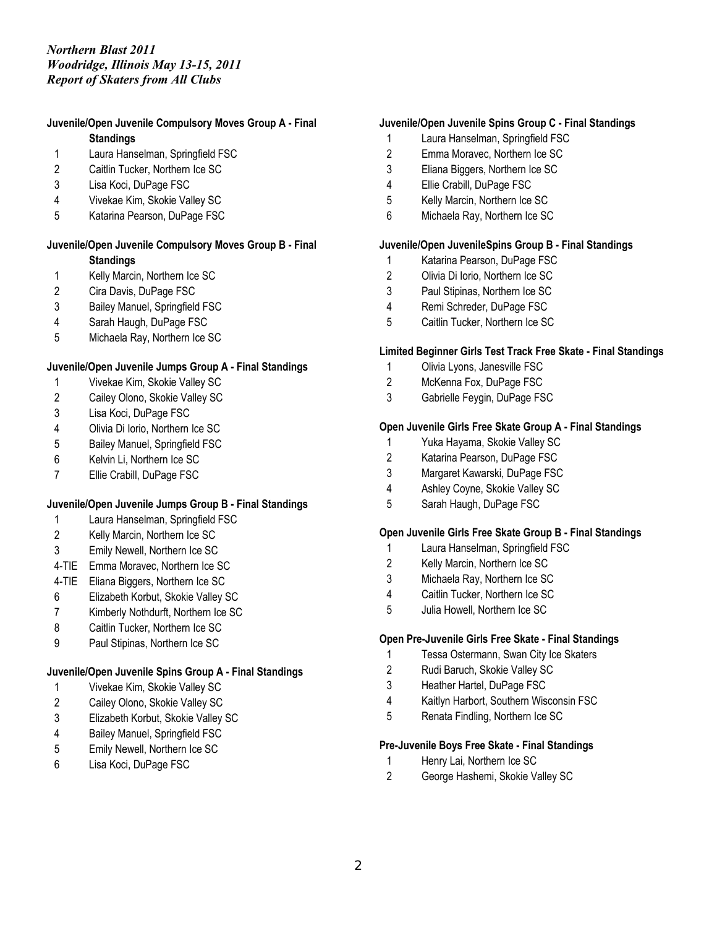#### **Juvenile/Open Juvenile Compulsory Moves Group A - Final Standings**

- 
- Laura Hanselman, Springfield FSC
- Caitlin Tucker, Northern Ice SC
- Lisa Koci, DuPage FSC
- Vivekae Kim, Skokie Valley SC
- Katarina Pearson, DuPage FSC

# **Juvenile/Open Juvenile Compulsory Moves Group B - Final**

# **Standings**

- Kelly Marcin, Northern Ice SC
- Cira Davis, DuPage FSC
- Bailey Manuel, Springfield FSC
- Sarah Haugh, DuPage FSC
- Michaela Ray, Northern Ice SC

# **Juvenile/Open Juvenile Jumps Group A - Final Standings**

- Vivekae Kim, Skokie Valley SC
- Cailey Olono, Skokie Valley SC
- Lisa Koci, DuPage FSC
- Olivia Di Iorio, Northern Ice SC
- Bailey Manuel, Springfield FSC
- Kelvin Li, Northern Ice SC
- Ellie Crabill, DuPage FSC

# **Juvenile/Open Juvenile Jumps Group B - Final Standings**

- Laura Hanselman, Springfield FSC
- Kelly Marcin, Northern Ice SC
- Emily Newell, Northern Ice SC
- 4-TIE Emma Moravec, Northern Ice SC
- 4-TIE Eliana Biggers, Northern Ice SC
- Elizabeth Korbut, Skokie Valley SC
- Kimberly Nothdurft, Northern Ice SC
- Caitlin Tucker, Northern Ice SC
- Paul Stipinas, Northern Ice SC

# **Juvenile/Open Juvenile Spins Group A - Final Standings**

- Vivekae Kim, Skokie Valley SC
- Cailey Olono, Skokie Valley SC
- Elizabeth Korbut, Skokie Valley SC
- Bailey Manuel, Springfield FSC
- Emily Newell, Northern Ice SC
- Lisa Koci, DuPage FSC

## **Juvenile/Open Juvenile Spins Group C - Final Standings**

- Laura Hanselman, Springfield FSC
- Emma Moravec, Northern Ice SC
- Eliana Biggers, Northern Ice SC
- Ellie Crabill, DuPage FSC
- Kelly Marcin, Northern Ice SC
- Michaela Ray, Northern Ice SC

## **Juvenile/Open JuvenileSpins Group B - Final Standings**

- Katarina Pearson, DuPage FSC
- Olivia Di Iorio, Northern Ice SC
- Paul Stipinas, Northern Ice SC
- Remi Schreder, DuPage FSC
- Caitlin Tucker, Northern Ice SC

## **Limited Beginner Girls Test Track Free Skate - Final Standings**

- Olivia Lyons, Janesville FSC
- McKenna Fox, DuPage FSC
- Gabrielle Feygin, DuPage FSC

## **Open Juvenile Girls Free Skate Group A - Final Standings**

- Yuka Hayama, Skokie Valley SC
- Katarina Pearson, DuPage FSC
- Margaret Kawarski, DuPage FSC
- Ashley Coyne, Skokie Valley SC
- Sarah Haugh, DuPage FSC

#### **Open Juvenile Girls Free Skate Group B - Final Standings**

- Laura Hanselman, Springfield FSC
- Kelly Marcin, Northern Ice SC
- Michaela Ray, Northern Ice SC
- Caitlin Tucker, Northern Ice SC
- Julia Howell, Northern Ice SC

# **Open Pre-Juvenile Girls Free Skate - Final Standings**

- Tessa Ostermann, Swan City Ice Skaters
- Rudi Baruch, Skokie Valley SC
- Heather Hartel, DuPage FSC
- Kaitlyn Harbort, Southern Wisconsin FSC
- Renata Findling, Northern Ice SC

#### **Pre-Juvenile Boys Free Skate - Final Standings**

- 1 Henry Lai, Northern Ice SC
- George Hashemi, Skokie Valley SC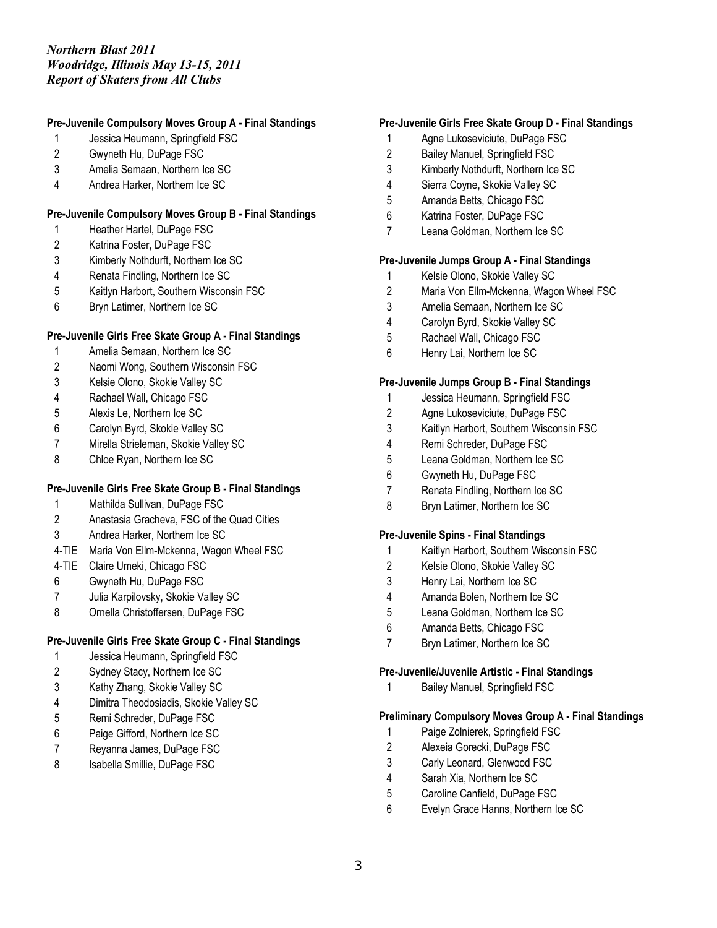## **Pre-Juvenile Compulsory Moves Group A - Final Standings**

- Jessica Heumann, Springfield FSC
- Gwyneth Hu, DuPage FSC
- Amelia Semaan, Northern Ice SC
- Andrea Harker, Northern Ice SC

#### **Pre-Juvenile Compulsory Moves Group B - Final Standings**

- Heather Hartel, DuPage FSC
- Katrina Foster, DuPage FSC
- Kimberly Nothdurft, Northern Ice SC
- Renata Findling, Northern Ice SC
- Kaitlyn Harbort, Southern Wisconsin FSC
- Bryn Latimer, Northern Ice SC

## **Pre-Juvenile Girls Free Skate Group A - Final Standings**

- Amelia Semaan, Northern Ice SC
- Naomi Wong, Southern Wisconsin FSC
- Kelsie Olono, Skokie Valley SC
- Rachael Wall, Chicago FSC
- Alexis Le, Northern Ice SC
- Carolyn Byrd, Skokie Valley SC
- Mirella Strieleman, Skokie Valley SC
- 8 Chloe Ryan, Northern Ice SC

# **Pre-Juvenile Girls Free Skate Group B - Final Standings**

- Mathilda Sullivan, DuPage FSC
- Anastasia Gracheva, FSC of the Quad Cities
- Andrea Harker, Northern Ice SC
- 4-TIE Maria Von Ellm-Mckenna, Wagon Wheel FSC
- 4-TIE Claire Umeki, Chicago FSC
- Gwyneth Hu, DuPage FSC
- Julia Karpilovsky, Skokie Valley SC
- Ornella Christoffersen, DuPage FSC

#### **Pre-Juvenile Girls Free Skate Group C - Final Standings**

- Jessica Heumann, Springfield FSC
- Sydney Stacy, Northern Ice SC
- Kathy Zhang, Skokie Valley SC
- Dimitra Theodosiadis, Skokie Valley SC
- Remi Schreder, DuPage FSC
- Paige Gifford, Northern Ice SC
- Reyanna James, DuPage FSC
- 8 Isabella Smillie, DuPage FSC

### **Pre-Juvenile Girls Free Skate Group D - Final Standings**

- Agne Lukoseviciute, DuPage FSC
- Bailey Manuel, Springfield FSC
- Kimberly Nothdurft, Northern Ice SC
- Sierra Coyne, Skokie Valley SC
- Amanda Betts, Chicago FSC
- Katrina Foster, DuPage FSC
- Leana Goldman, Northern Ice SC

## **Pre-Juvenile Jumps Group A - Final Standings**

- Kelsie Olono, Skokie Valley SC
- Maria Von Ellm-Mckenna, Wagon Wheel FSC
- Amelia Semaan, Northern Ice SC
- Carolyn Byrd, Skokie Valley SC
- Rachael Wall, Chicago FSC
- Henry Lai, Northern Ice SC

### **Pre-Juvenile Jumps Group B - Final Standings**

- Jessica Heumann, Springfield FSC
- Agne Lukoseviciute, DuPage FSC
- Kaitlyn Harbort, Southern Wisconsin FSC
- Remi Schreder, DuPage FSC
- Leana Goldman, Northern Ice SC
- Gwyneth Hu, DuPage FSC
- Renata Findling, Northern Ice SC
- 8 Bryn Latimer, Northern Ice SC

#### **Pre-Juvenile Spins - Final Standings**

- Kaitlyn Harbort, Southern Wisconsin FSC
- Kelsie Olono, Skokie Valley SC
- Henry Lai, Northern Ice SC
- Amanda Bolen, Northern Ice SC
- Leana Goldman, Northern Ice SC
- Amanda Betts, Chicago FSC
- Bryn Latimer, Northern Ice SC

#### **Pre-Juvenile/Juvenile Artistic - Final Standings**

Bailey Manuel, Springfield FSC

# **Preliminary Compulsory Moves Group A - Final Standings**

- Paige Zolnierek, Springfield FSC
- Alexeia Gorecki, DuPage FSC
- Carly Leonard, Glenwood FSC
- Sarah Xia, Northern Ice SC
- Caroline Canfield, DuPage FSC
- Evelyn Grace Hanns, Northern Ice SC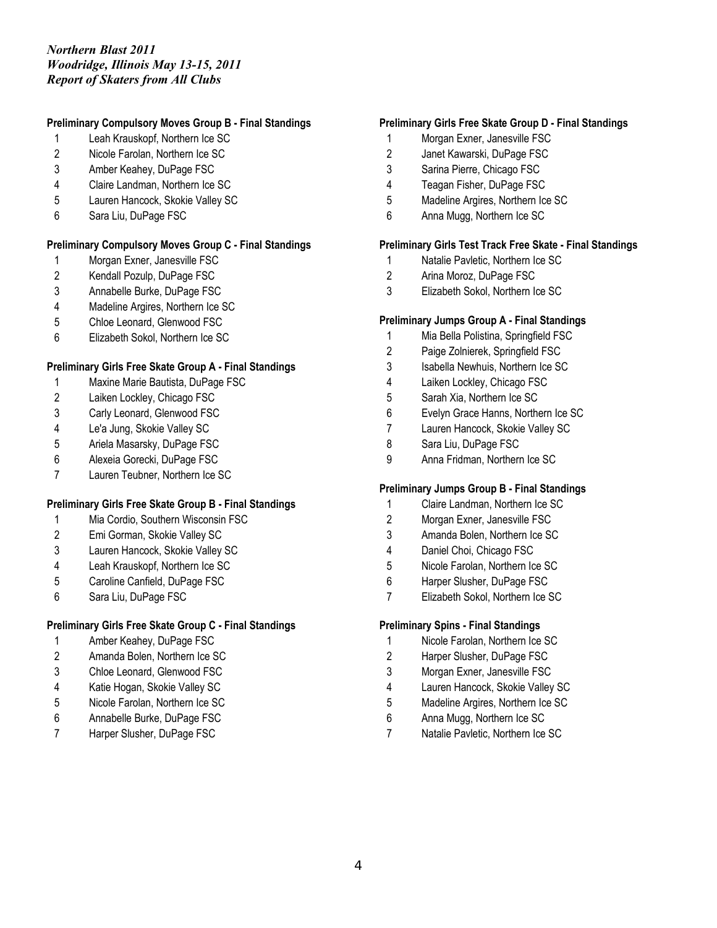## **Preliminary Compulsory Moves Group B - Final Standings**

- Leah Krauskopf, Northern Ice SC
- Nicole Farolan, Northern Ice SC
- Amber Keahey, DuPage FSC
- Claire Landman, Northern Ice SC
- Lauren Hancock, Skokie Valley SC
- Sara Liu, DuPage FSC

## **Preliminary Compulsory Moves Group C - Final Standings**

- Morgan Exner, Janesville FSC
- Kendall Pozulp, DuPage FSC
- Annabelle Burke, DuPage FSC
- Madeline Argires, Northern Ice SC
- Chloe Leonard, Glenwood FSC
- Elizabeth Sokol, Northern Ice SC

# **Preliminary Girls Free Skate Group A - Final Standings**

- Maxine Marie Bautista, DuPage FSC
- Laiken Lockley, Chicago FSC
- Carly Leonard, Glenwood FSC
- Le'a Jung, Skokie Valley SC
- Ariela Masarsky, DuPage FSC
- Alexeia Gorecki, DuPage FSC
- Lauren Teubner, Northern Ice SC

#### **Preliminary Girls Free Skate Group B - Final Standings**

- Mia Cordio, Southern Wisconsin FSC
- Emi Gorman, Skokie Valley SC
- Lauren Hancock, Skokie Valley SC
- Leah Krauskopf, Northern Ice SC
- Caroline Canfield, DuPage FSC
- Sara Liu, DuPage FSC

# **Preliminary Girls Free Skate Group C - Final Standings**

- Amber Keahey, DuPage FSC
- Amanda Bolen, Northern Ice SC
- Chloe Leonard, Glenwood FSC
- Katie Hogan, Skokie Valley SC
- Nicole Farolan, Northern Ice SC
- Annabelle Burke, DuPage FSC
- Harper Slusher, DuPage FSC

## **Preliminary Girls Free Skate Group D - Final Standings**

- Morgan Exner, Janesville FSC
- Janet Kawarski, DuPage FSC
- Sarina Pierre, Chicago FSC
- Teagan Fisher, DuPage FSC
- Madeline Argires, Northern Ice SC
- Anna Mugg, Northern Ice SC

## **Preliminary Girls Test Track Free Skate - Final Standings**

- Natalie Pavletic, Northern Ice SC
- Arina Moroz, DuPage FSC
- Elizabeth Sokol, Northern Ice SC

### **Preliminary Jumps Group A - Final Standings**

- Mia Bella Polistina, Springfield FSC
- Paige Zolnierek, Springfield FSC
- Isabella Newhuis, Northern Ice SC
- Laiken Lockley, Chicago FSC
- Sarah Xia, Northern Ice SC
- Evelyn Grace Hanns, Northern Ice SC
- Lauren Hancock, Skokie Valley SC
- Sara Liu, DuPage FSC
- Anna Fridman, Northern Ice SC

#### **Preliminary Jumps Group B - Final Standings**

- Claire Landman, Northern Ice SC
- Morgan Exner, Janesville FSC
- Amanda Bolen, Northern Ice SC
- Daniel Choi, Chicago FSC
- Nicole Farolan, Northern Ice SC
- Harper Slusher, DuPage FSC
- Elizabeth Sokol, Northern Ice SC

#### **Preliminary Spins - Final Standings**

- Nicole Farolan, Northern Ice SC
- Harper Slusher, DuPage FSC
- Morgan Exner, Janesville FSC
- Lauren Hancock, Skokie Valley SC
- Madeline Argires, Northern Ice SC
- Anna Mugg, Northern Ice SC
- Natalie Pavletic, Northern Ice SC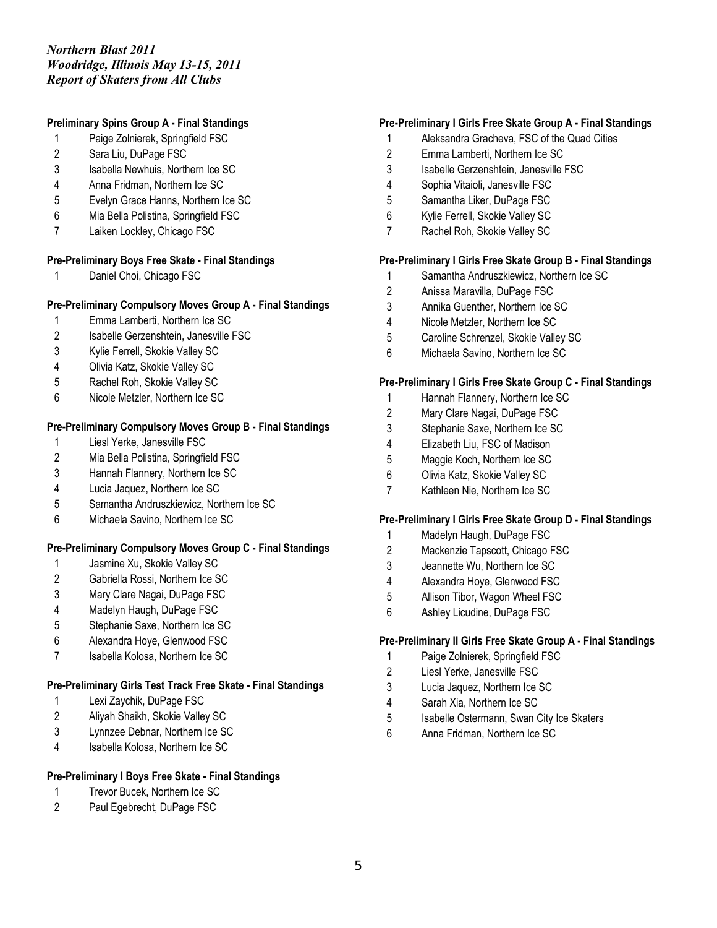# **Preliminary Spins Group A - Final Standings**

- Paige Zolnierek, Springfield FSC
- Sara Liu, DuPage FSC
- Isabella Newhuis, Northern Ice SC
- Anna Fridman, Northern Ice SC
- Evelyn Grace Hanns, Northern Ice SC
- Mia Bella Polistina, Springfield FSC
- Laiken Lockley, Chicago FSC

## **Pre-Preliminary Boys Free Skate - Final Standings**

Daniel Choi, Chicago FSC

## **Pre-Preliminary Compulsory Moves Group A - Final Standings**

- Emma Lamberti, Northern Ice SC
- Isabelle Gerzenshtein, Janesville FSC
- Kylie Ferrell, Skokie Valley SC
- Olivia Katz, Skokie Valley SC
- Rachel Roh, Skokie Valley SC
- Nicole Metzler, Northern Ice SC

## **Pre-Preliminary Compulsory Moves Group B - Final Standings**

- Liesl Yerke, Janesville FSC
- Mia Bella Polistina, Springfield FSC
- Hannah Flannery, Northern Ice SC
- Lucia Jaquez, Northern Ice SC
- Samantha Andruszkiewicz, Northern Ice SC
- Michaela Savino, Northern Ice SC

# **Pre-Preliminary Compulsory Moves Group C - Final Standings**

- Jasmine Xu, Skokie Valley SC
- Gabriella Rossi, Northern Ice SC
- Mary Clare Nagai, DuPage FSC
- Madelyn Haugh, DuPage FSC
- Stephanie Saxe, Northern Ice SC
- Alexandra Hoye, Glenwood FSC
- Isabella Kolosa, Northern Ice SC

# **Pre-Preliminary Girls Test Track Free Skate - Final Standings**

- Lexi Zaychik, DuPage FSC
- Aliyah Shaikh, Skokie Valley SC
- Lynnzee Debnar, Northern Ice SC
- Isabella Kolosa, Northern Ice SC

# **Pre-Preliminary I Boys Free Skate - Final Standings**

- 1 Trevor Bucek, Northern Ice SC
- Paul Egebrecht, DuPage FSC

## **Pre-Preliminary I Girls Free Skate Group A - Final Standings**

- Aleksandra Gracheva, FSC of the Quad Cities
- Emma Lamberti, Northern Ice SC
- Isabelle Gerzenshtein, Janesville FSC
- Sophia Vitaioli, Janesville FSC
- Samantha Liker, DuPage FSC
- Kylie Ferrell, Skokie Valley SC
- Rachel Roh, Skokie Valley SC

### **Pre-Preliminary I Girls Free Skate Group B - Final Standings**

- Samantha Andruszkiewicz, Northern Ice SC
- Anissa Maravilla, DuPage FSC
- Annika Guenther, Northern Ice SC
- Nicole Metzler, Northern Ice SC
- Caroline Schrenzel, Skokie Valley SC
- Michaela Savino, Northern Ice SC

# **Pre-Preliminary I Girls Free Skate Group C - Final Standings**

- Hannah Flannery, Northern Ice SC
- Mary Clare Nagai, DuPage FSC
- Stephanie Saxe, Northern Ice SC
- Elizabeth Liu, FSC of Madison
- Maggie Koch, Northern Ice SC
- Olivia Katz, Skokie Valley SC
- Kathleen Nie, Northern Ice SC

#### **Pre-Preliminary I Girls Free Skate Group D - Final Standings**

- Madelyn Haugh, DuPage FSC
- Mackenzie Tapscott, Chicago FSC
- Jeannette Wu, Northern Ice SC
- Alexandra Hoye, Glenwood FSC
- Allison Tibor, Wagon Wheel FSC
- Ashley Licudine, DuPage FSC

#### **Pre-Preliminary II Girls Free Skate Group A - Final Standings**

- Paige Zolnierek, Springfield FSC
- Liesl Yerke, Janesville FSC
- Lucia Jaquez, Northern Ice SC
- Sarah Xia, Northern Ice SC
- Isabelle Ostermann, Swan City Ice Skaters
- Anna Fridman, Northern Ice SC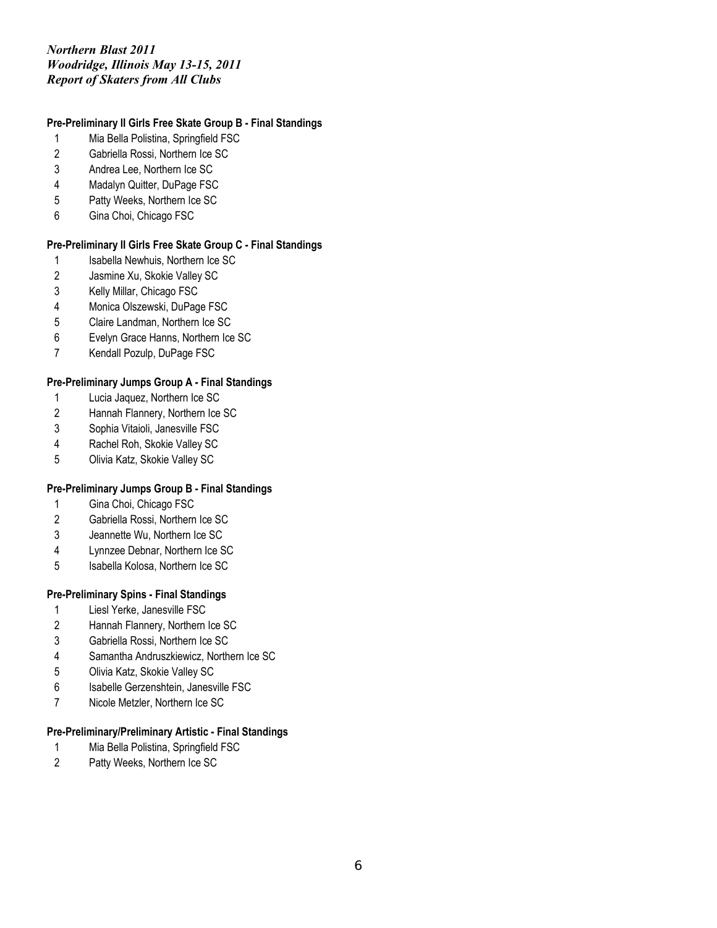# **Pre-Preliminary II Girls Free Skate Group B - Final Standings**

- Mia Bella Polistina, Springfield FSC
- Gabriella Rossi, Northern Ice SC
- Andrea Lee, Northern Ice SC
- Madalyn Quitter, DuPage FSC
- Patty Weeks, Northern Ice SC
- Gina Choi, Chicago FSC

# **Pre-Preliminary II Girls Free Skate Group C - Final Standings**

- 1 Isabella Newhuis, Northern Ice SC
- Jasmine Xu, Skokie Valley SC
- Kelly Millar, Chicago FSC
- Monica Olszewski, DuPage FSC
- Claire Landman, Northern Ice SC
- Evelyn Grace Hanns, Northern Ice SC
- Kendall Pozulp, DuPage FSC

## **Pre-Preliminary Jumps Group A - Final Standings**

- Lucia Jaquez, Northern Ice SC
- Hannah Flannery, Northern Ice SC
- Sophia Vitaioli, Janesville FSC
- Rachel Roh, Skokie Valley SC
- Olivia Katz, Skokie Valley SC

## **Pre-Preliminary Jumps Group B - Final Standings**

- Gina Choi, Chicago FSC
- Gabriella Rossi, Northern Ice SC
- Jeannette Wu, Northern Ice SC
- Lynnzee Debnar, Northern Ice SC
- Isabella Kolosa, Northern Ice SC

#### **Pre-Preliminary Spins - Final Standings**

- Liesl Yerke, Janesville FSC
- Hannah Flannery, Northern Ice SC
- Gabriella Rossi, Northern Ice SC
- Samantha Andruszkiewicz, Northern Ice SC
- Olivia Katz, Skokie Valley SC
- Isabelle Gerzenshtein, Janesville FSC
- Nicole Metzler, Northern Ice SC

# **Pre-Preliminary/Preliminary Artistic - Final Standings**

- Mia Bella Polistina, Springfield FSC
- Patty Weeks, Northern Ice SC